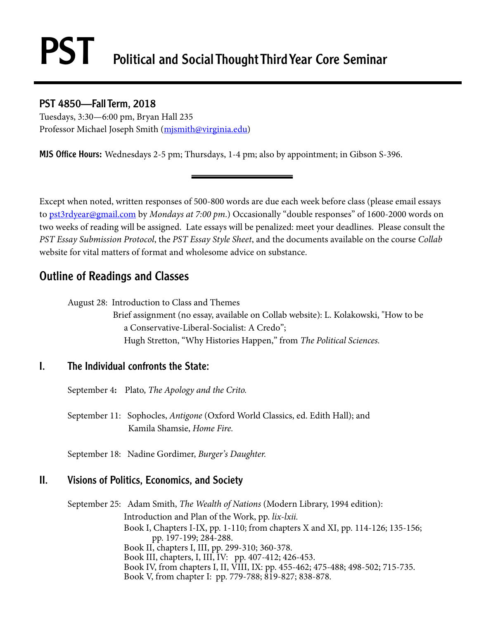# PST Political and Social Thought Third Year Core Seminar

### PST 4850—Fall Term, 2018

Tuesdays, 3:30—6:00 pm, Bryan Hall 235 Professor Michael Joseph Smith (mjsmith@virginia.edu)

MJS Office Hours**:** Wednesdays 2-5 pm; Thursdays, 1-4 pm; also by appointment; in Gibson S-396.

Except when noted, written responses of 500-800 words are due each week before class (please email essays to [pst3rdyear@gmail.com](mailto:pst3rdyear@gmail.com) by *Mondays at 7:00 pm*.) Occasionally "double responses" of 1600-2000 words on two weeks of reading will be assigned. Late essays will be penalized: meet your deadlines. Please consult the *PST Essay Submission Protocol*, the *PST Essay Style Sheet*, and the documents available on the course *Collab* website for vital matters of format and wholesome advice on substance.

# Outline of Readings and Classes

August 28: Introduction to Class and Themes

 Brief assignment (no essay, available on Collab website): L. Kolakowski, "How to be a Conservative-Liberal-Socialist: A Credo"; Hugh Stretton, "Why Histories Happen," from *The Political Sciences.*

### I. The Individual confronts the State:

September 4**:** Plato, *The Apology and the Crito.* 

September 11: Sophocles, *Antigone* (Oxford World Classics, ed. Edith Hall); and Kamila Shamsie, *Home Fire.*

September 18: Nadine Gordimer, *Burger's Daughter.*

## II. Visions of Politics, Economics, and Society

September 25: Adam Smith, *The Wealth of Nations* (Modern Library, 1994 edition): Introduction and Plan of the Work, pp. *lix-lxii.* Book I, Chapters I-IX, pp. 1-110; from chapters X and XI, pp. 114-126; 135-156; pp. 197-199; 284-288. Book II, chapters I, III, pp. 299-310; 360-378. Book III, chapters, I, III, IV: pp. 407-412; 426-453. Book IV, from chapters I, II, VIII, IX: pp. 455-462; 475-488; 498-502; 715-735. Book V, from chapter I: pp. 779-788; 819-827; 838-878.